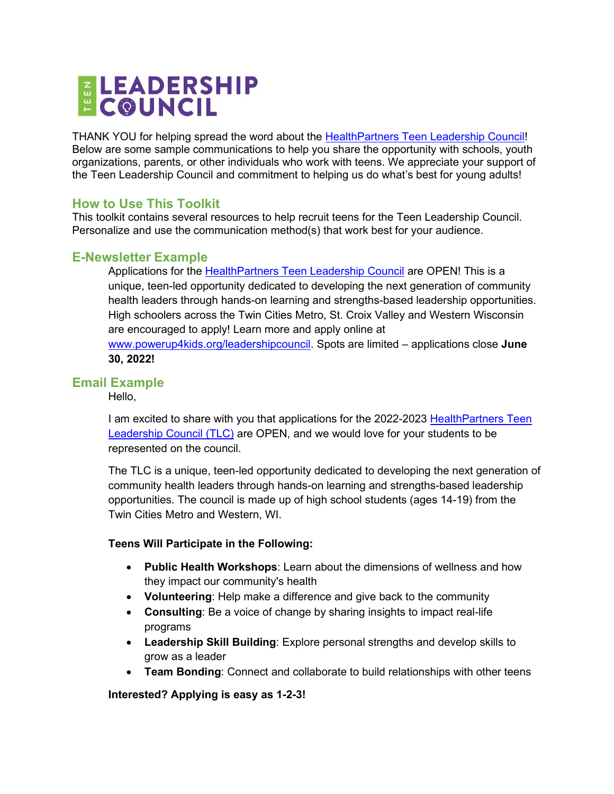# ELEADERSHIP<br>EC@UNCIL

THANK YOU for helping spread the word about the [HealthPartners Teen Leadership Council!](http://www.powerup4kids.org/leadershipcouncil) Below are some sample communications to help you share the opportunity with schools, youth organizations, parents, or other individuals who work with teens. We appreciate your support of the Teen Leadership Council and commitment to helping us do what's best for young adults!

# **How to Use This Toolkit**

This toolkit contains several resources to help recruit teens for the Teen Leadership Council. Personalize and use the communication method(s) that work best for your audience.

# **E-Newsletter Example**

Applications for the [HealthPartners Teen Leadership Council](http://www.powerup4kids.org/leadershipcouncil) are OPEN! This is a unique, teen-led opportunity dedicated to developing the next generation of community health leaders through hands-on learning and strengths-based leadership opportunities. High schoolers across the Twin Cities Metro, St. Croix Valley and Western Wisconsin are encouraged to apply! Learn more and apply online at [www.powerup4kids.org/leadershipcouncil.](http://www.powerup4kids.org/leadershipcouncil) Spots are limited – applications close **June 30, 2022!**

## **Email Example**

Hello,

I am excited to share with you that applications for the 2022-2023 HealthPartners Teen [Leadership Council \(TLC\)](http://www.powerup4kids.org/leadershipcouncil) are OPEN, and we would love for your students to be represented on the council.

The TLC is a unique, teen-led opportunity dedicated to developing the next generation of community health leaders through hands-on learning and strengths-based leadership opportunities. The council is made up of high school students (ages 14-19) from the Twin Cities Metro and Western, WI.

#### **Teens Will Participate in the Following:**

- **Public Health Workshops**: Learn about the dimensions of wellness and how they impact our community's health
- **Volunteering**: Help make a difference and give back to the community
- **Consulting**: Be a voice of change by sharing insights to impact real-life programs
- **Leadership Skill Building**: Explore personal strengths and develop skills to grow as a leader
- **Team Bonding**: Connect and collaborate to build relationships with other teens

#### **Interested? Applying is easy as 1-2-3!**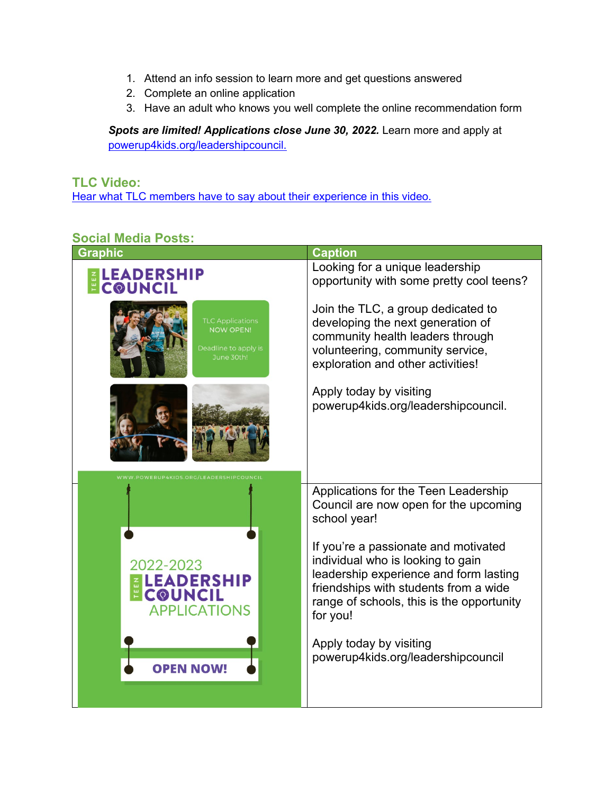- 1. Attend an info session to learn more and get questions answered
- 2. Complete an online application
- 3. Have an adult who knows you well complete the online recommendation form

Spots are limited! Applications close June 30, 2022. Learn more and apply at [powerup4kids.org/leadershipcouncil.](http://www.powerup4kids.org/leadershipcouncil)

# **TLC Video:** [Hear what TLC members have to say about their experience in this video.](https://nam02.safelinks.protection.outlook.com/?url=https%3A%2F%2Fwww.youtube.com%2Fwatch%3Fv%3DEIGuvsVIXj8%26t%3D1s&data=05%7C01%7Ckristen.m.wanta%40healthpartners.com%7C8e750e61cfad444cbe1308da2ec21ced%7C9539230a521345429ca6b0ec58c41a4d%7C0%7C0%7C637873708495156137%7CUnknown%7CTWFpbGZsb3d8eyJWIjoiMC4wLjAwMDAiLCJQIjoiV2luMzIiLCJBTiI6Ik1haWwiLCJXVCI6Mn0%3D%7C3000%7C%7C%7C&sdata=VBgn1ZqcHG%2Bk6DS5t%2BIAKh2qyUZbKoczJOyfR0ETZSc%3D&reserved=0)

## **Social Media Posts:**

| <b>Graphic</b>                                                                    | <b>Caption</b>                                                                                                                                                                                                        |
|-----------------------------------------------------------------------------------|-----------------------------------------------------------------------------------------------------------------------------------------------------------------------------------------------------------------------|
| <b>ELEADERSHIP</b>                                                                | Looking for a unique leadership<br>opportunity with some pretty cool teens?                                                                                                                                           |
| <b>TLC Applications</b><br><b>NOW OPEN!</b><br>Deadline to apply is<br>June 30th! | Join the TLC, a group dedicated to<br>developing the next generation of<br>community health leaders through<br>volunteering, community service,<br>exploration and other activities!                                  |
| WWW.POWERUP4KIDS.ORG/LEADERSHIPCOUNCIL                                            | Apply today by visiting<br>powerup4kids.org/leadershipcouncil.                                                                                                                                                        |
|                                                                                   | Applications for the Teen Leadership<br>Council are now open for the upcoming<br>school year!                                                                                                                         |
| 2022-2023<br><b>ELEADERSHIP</b><br><b>ECOUNCIL</b><br><b>APPLICATIONS</b>         | If you're a passionate and motivated<br>individual who is looking to gain<br>leadership experience and form lasting<br>friendships with students from a wide<br>range of schools, this is the opportunity<br>for you! |
| <b>OPEN NOW!</b>                                                                  | Apply today by visiting<br>powerup4kids.org/leadershipcouncil                                                                                                                                                         |
|                                                                                   |                                                                                                                                                                                                                       |